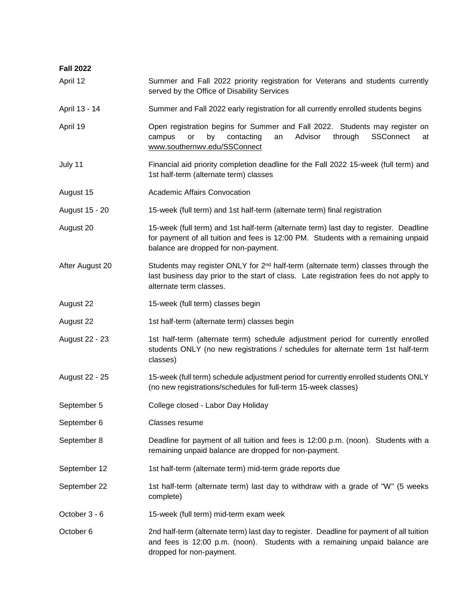| <b>Fall 2022</b> |                                                                                                                                                                                                                    |
|------------------|--------------------------------------------------------------------------------------------------------------------------------------------------------------------------------------------------------------------|
| April 12         | Summer and Fall 2022 priority registration for Veterans and students currently<br>served by the Office of Disability Services                                                                                      |
| April 13 - 14    | Summer and Fall 2022 early registration for all currently enrolled students begins                                                                                                                                 |
| April 19         | Open registration begins for Summer and Fall 2022. Students may register on<br>contacting<br>Advisor<br>through<br>SSConnect<br>or<br>by<br>an<br>campus<br>at<br>www.southernwv.edu/SSConnect                     |
| July 11          | Financial aid priority completion deadline for the Fall 2022 15-week (full term) and<br>1st half-term (alternate term) classes                                                                                     |
| August 15        | <b>Academic Affairs Convocation</b>                                                                                                                                                                                |
| August 15 - 20   | 15-week (full term) and 1st half-term (alternate term) final registration                                                                                                                                          |
| August 20        | 15-week (full term) and 1st half-term (alternate term) last day to register. Deadline<br>for payment of all tuition and fees is 12:00 PM. Students with a remaining unpaid<br>balance are dropped for non-payment. |
| After August 20  | Students may register ONLY for 2 <sup>nd</sup> half-term (alternate term) classes through the<br>last business day prior to the start of class. Late registration fees do not apply to<br>alternate term classes.  |
| August 22        | 15-week (full term) classes begin                                                                                                                                                                                  |
| August 22        | 1st half-term (alternate term) classes begin                                                                                                                                                                       |
| August 22 - 23   | 1st half-term (alternate term) schedule adjustment period for currently enrolled<br>students ONLY (no new registrations / schedules for alternate term 1st half-term<br>classes)                                   |
| August 22 - 25   | 15-week (full term) schedule adjustment period for currently enrolled students ONLY<br>(no new registrations/schedules for full-term 15-week classes)                                                              |
| September 5      | College closed - Labor Day Holiday                                                                                                                                                                                 |
| September 6      | Classes resume                                                                                                                                                                                                     |
| September 8      | Deadline for payment of all tuition and fees is 12:00 p.m. (noon). Students with a<br>remaining unpaid balance are dropped for non-payment.                                                                        |
| September 12     | 1st half-term (alternate term) mid-term grade reports due                                                                                                                                                          |
| September 22     | 1st half-term (alternate term) last day to withdraw with a grade of "W" (5 weeks<br>complete)                                                                                                                      |
| October 3 - 6    | 15-week (full term) mid-term exam week                                                                                                                                                                             |
| October 6        | 2nd half-term (alternate term) last day to register. Deadline for payment of all tuition<br>and fees is 12:00 p.m. (noon). Students with a remaining unpaid balance are<br>dropped for non-payment.                |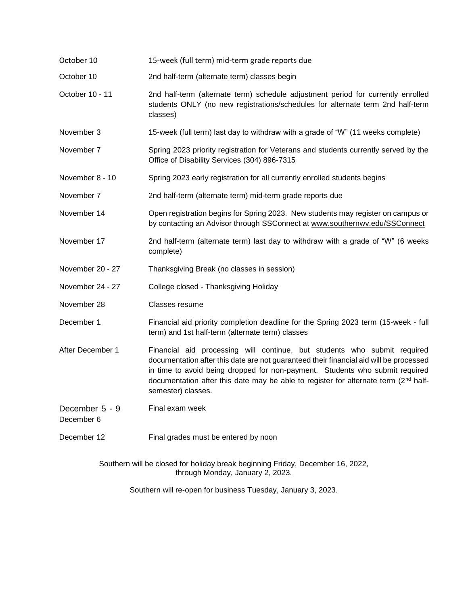- October 10 15-week (full term) mid-term grade reports due
- October 10 2nd half-term (alternate term) classes begin
- October 10 11 2nd half-term (alternate term) schedule adjustment period for currently enrolled students ONLY (no new registrations/schedules for alternate term 2nd half-term classes)
- November 3 15-week (full term) last day to withdraw with a grade of "W" (11 weeks complete)
- November 7 Spring 2023 priority registration for Veterans and students currently served by the Office of Disability Services (304) 896-7315
- November 8 10 Spring 2023 early registration for all currently enrolled students begins
- November 7 2nd half-term (alternate term) mid-term grade reports due
- November 14 Open registration begins for Spring 2023. New students may register on campus or by contacting an Advisor through SSConnect at www.southernwv.edu/SSConnect
- November 17 2nd half-term (alternate term) last day to withdraw with a grade of "W" (6 weeks complete)
- November 20 27 Thanksgiving Break (no classes in session)
- November 24 27 College closed Thanksgiving Holiday
- November 28 Classes resume
- December 1 Financial aid priority completion deadline for the Spring 2023 term (15-week full term) and 1st half-term (alternate term) classes
- After December 1 Financial aid processing will continue, but students who submit required documentation after this date are not guaranteed their financial aid will be processed in time to avoid being dropped for non-payment. Students who submit required documentation after this date may be able to register for alternate term  $(2<sup>nd</sup> half$ semester) classes.
- December 5 9 Final exam week

December 6

December 12 Final grades must be entered by noon

Southern will be closed for holiday break beginning Friday, December 16, 2022, through Monday, January 2, 2023.

Southern will re-open for business Tuesday, January 3, 2023.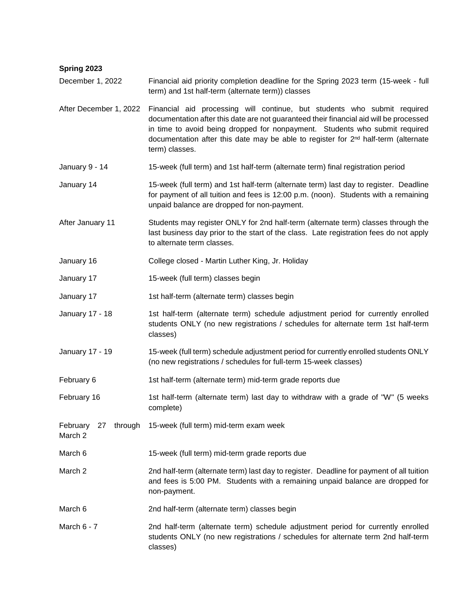| Spring 2023                          |                                                                                                                                                                                                                                                                                                                                                                       |
|--------------------------------------|-----------------------------------------------------------------------------------------------------------------------------------------------------------------------------------------------------------------------------------------------------------------------------------------------------------------------------------------------------------------------|
| December 1, 2022                     | Financial aid priority completion deadline for the Spring 2023 term (15-week - full<br>term) and 1st half-term (alternate term)) classes                                                                                                                                                                                                                              |
| After December 1, 2022               | Financial aid processing will continue, but students who submit required<br>documentation after this date are not guaranteed their financial aid will be processed<br>in time to avoid being dropped for nonpayment. Students who submit required<br>documentation after this date may be able to register for 2 <sup>nd</sup> half-term (alternate<br>term) classes. |
| January 9 - 14                       | 15-week (full term) and 1st half-term (alternate term) final registration period                                                                                                                                                                                                                                                                                      |
| January 14                           | 15-week (full term) and 1st half-term (alternate term) last day to register. Deadline<br>for payment of all tuition and fees is 12:00 p.m. (noon). Students with a remaining<br>unpaid balance are dropped for non-payment.                                                                                                                                           |
| After January 11                     | Students may register ONLY for 2nd half-term (alternate term) classes through the<br>last business day prior to the start of the class. Late registration fees do not apply<br>to alternate term classes.                                                                                                                                                             |
| January 16                           | College closed - Martin Luther King, Jr. Holiday                                                                                                                                                                                                                                                                                                                      |
| January 17                           | 15-week (full term) classes begin                                                                                                                                                                                                                                                                                                                                     |
| January 17                           | 1st half-term (alternate term) classes begin                                                                                                                                                                                                                                                                                                                          |
| January 17 - 18                      | 1st half-term (alternate term) schedule adjustment period for currently enrolled<br>students ONLY (no new registrations / schedules for alternate term 1st half-term<br>classes)                                                                                                                                                                                      |
| January 17 - 19                      | 15-week (full term) schedule adjustment period for currently enrolled students ONLY<br>(no new registrations / schedules for full-term 15-week classes)                                                                                                                                                                                                               |
| February 6                           | 1st half-term (alternate term) mid-term grade reports due                                                                                                                                                                                                                                                                                                             |
| February 16                          | 1st half-term (alternate term) last day to withdraw with a grade of "W" (5 weeks<br>complete)                                                                                                                                                                                                                                                                         |
| February<br>through<br>27<br>March 2 | 15-week (full term) mid-term exam week                                                                                                                                                                                                                                                                                                                                |
| March 6                              | 15-week (full term) mid-term grade reports due                                                                                                                                                                                                                                                                                                                        |
| March 2                              | 2nd half-term (alternate term) last day to register. Deadline for payment of all tuition<br>and fees is 5:00 PM. Students with a remaining unpaid balance are dropped for<br>non-payment.                                                                                                                                                                             |
| March 6                              | 2nd half-term (alternate term) classes begin                                                                                                                                                                                                                                                                                                                          |
| March 6 - 7                          | 2nd half-term (alternate term) schedule adjustment period for currently enrolled<br>students ONLY (no new registrations / schedules for alternate term 2nd half-term<br>classes)                                                                                                                                                                                      |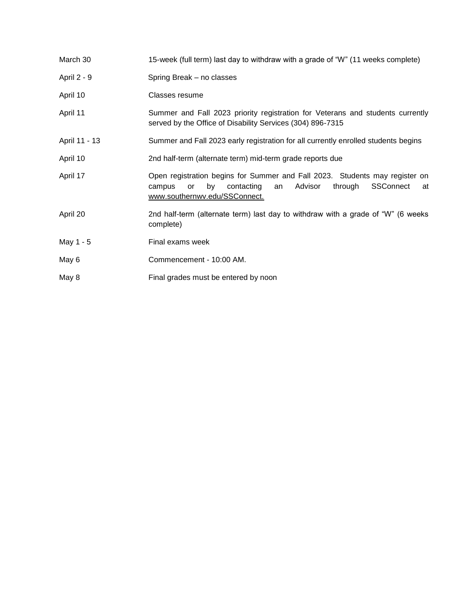| March 30      | 15-week (full term) last day to withdraw with a grade of "W" (11 weeks complete)                                                                                                                |
|---------------|-------------------------------------------------------------------------------------------------------------------------------------------------------------------------------------------------|
| April 2 - 9   | Spring Break - no classes                                                                                                                                                                       |
| April 10      | Classes resume                                                                                                                                                                                  |
| April 11      | Summer and Fall 2023 priority registration for Veterans and students currently<br>served by the Office of Disability Services (304) 896-7315                                                    |
| April 11 - 13 | Summer and Fall 2023 early registration for all currently enrolled students begins                                                                                                              |
| April 10      | 2nd half-term (alternate term) mid-term grade reports due                                                                                                                                       |
| April 17      | Open registration begins for Summer and Fall 2023. Students may register on<br>Advisor<br>SSConnect<br>by<br>contacting<br>through<br>campus<br>or<br>an<br>at<br>www.southernwv.edu/SSConnect. |
| April 20      | 2nd half-term (alternate term) last day to withdraw with a grade of "W" (6 weeks<br>complete)                                                                                                   |
| May 1 - 5     | Final exams week                                                                                                                                                                                |
| May 6         | Commencement - 10:00 AM.                                                                                                                                                                        |
| May 8         | Final grades must be entered by noon                                                                                                                                                            |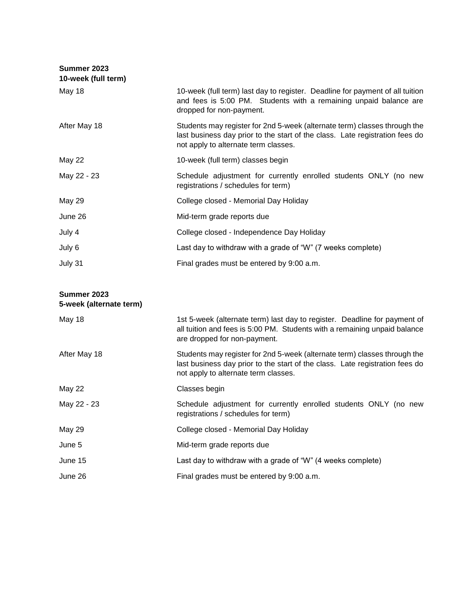| Summer 2023<br>10-week (full term) |                                                                                                                                                                                                   |
|------------------------------------|---------------------------------------------------------------------------------------------------------------------------------------------------------------------------------------------------|
| May 18                             | 10-week (full term) last day to register. Deadline for payment of all tuition<br>and fees is 5:00 PM. Students with a remaining unpaid balance are<br>dropped for non-payment.                    |
| After May 18                       | Students may register for 2nd 5-week (alternate term) classes through the<br>last business day prior to the start of the class. Late registration fees do<br>not apply to alternate term classes. |
| <b>May 22</b>                      | 10-week (full term) classes begin                                                                                                                                                                 |
| May 22 - 23                        | Schedule adjustment for currently enrolled students ONLY (no new<br>registrations / schedules for term)                                                                                           |
| <b>May 29</b>                      | College closed - Memorial Day Holiday                                                                                                                                                             |
| June 26                            | Mid-term grade reports due                                                                                                                                                                        |
| July 4                             | College closed - Independence Day Holiday                                                                                                                                                         |
| July 6                             | Last day to withdraw with a grade of "W" (7 weeks complete)                                                                                                                                       |
| July 31                            | Final grades must be entered by 9:00 a.m.                                                                                                                                                         |

| Summer 2023 |                         |
|-------------|-------------------------|
|             | 5-week (alternate term) |

| May 18        | 1st 5-week (alternate term) last day to register. Deadline for payment of<br>all tuition and fees is 5:00 PM. Students with a remaining unpaid balance<br>are dropped for non-payment.            |
|---------------|---------------------------------------------------------------------------------------------------------------------------------------------------------------------------------------------------|
| After May 18  | Students may register for 2nd 5-week (alternate term) classes through the<br>last business day prior to the start of the class. Late registration fees do<br>not apply to alternate term classes. |
| <b>May 22</b> | Classes begin                                                                                                                                                                                     |
| May 22 - 23   | Schedule adjustment for currently enrolled students ONLY (no new<br>registrations / schedules for term)                                                                                           |
| <b>May 29</b> | College closed - Memorial Day Holiday                                                                                                                                                             |
| June 5        | Mid-term grade reports due                                                                                                                                                                        |
| June 15       | Last day to withdraw with a grade of "W" (4 weeks complete)                                                                                                                                       |
| June 26       | Final grades must be entered by 9:00 a.m.                                                                                                                                                         |